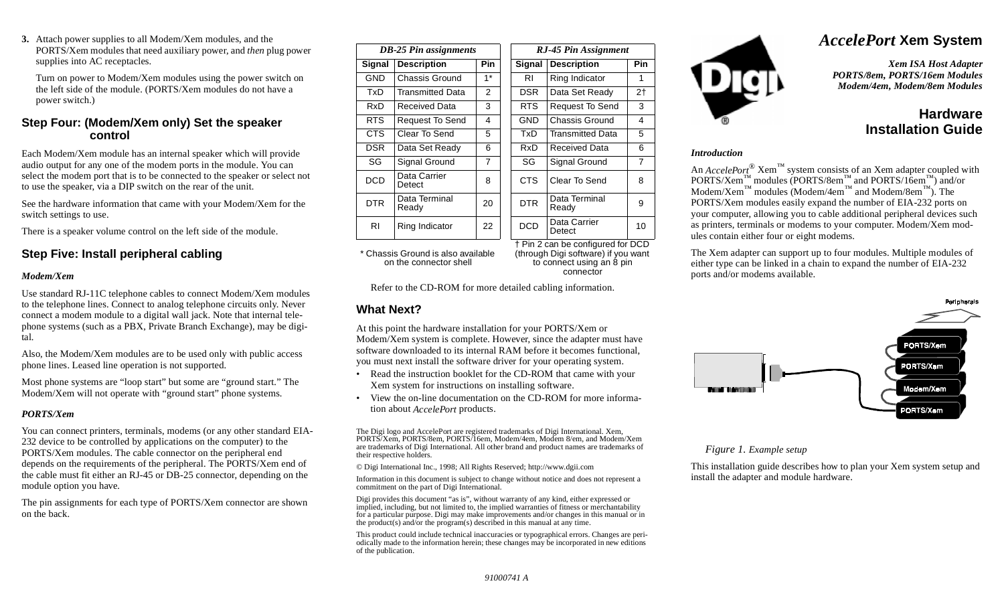**3.** Attach power supplies to all Modem/Xem modules, and the PORTS/Xem modules that need auxiliary power, and *then* plug power supplies into AC receptacles.

Turn on power to Modem/Xem modules using the power switch on the left side of the module. (PORTS/Xem modules do not have a power switch.)

### **Step Four: (Modem/Xem only) Set the speaker control**

Each Modem/Xem module has an internal speaker which will provide audio output for any one of the modem ports in the module. You can select the modem port that is to be connected to the speaker or select not to use the speaker, via a DIP switch on the rear of the unit.

See the hardware information that came with your Modem/Xem for the switch settings to use.

There is a speaker volume control on the left side of the module.

## **Step Five: Install peripheral cabling**

#### *Modem/Xem*

Use standard RJ-11C telephone cables to connect Modem/Xem modules to the telephone lines. Connect to analog telephone circuits only. Never connect a modem module to a digital wall jack. Note that internal telephone systems (such as a PBX, Private Branch Exchange), may be digital.

Also, the Modem/Xem modules are to be used only with public access phone lines. Leased line operation is not supported.

Most phone systems are "loop start" but some are "ground start." The Modem/Xem will not operate with "ground start" phone systems.

#### *PORTS/Xem*

You can connect printers, terminals, modems (or any other standard EIA-232 device to be controlled by applications on the computer) to the PORTS/Xem modules. The cable connector on the peripheral end depends on the requirements of the peripheral. The PORTS/Xem end of the cable must fit either an RJ-45 or DB-25 connector, depending on the module option you have.

The pin assignments for each type of PORTS/Xem connector are shown on the back.

| <b>DB-25 Pin assignments</b> |                        |                |  | RJ-45 Pin Assignment |                         |                |  |
|------------------------------|------------------------|----------------|--|----------------------|-------------------------|----------------|--|
| <b>Signal</b>                | <b>Description</b>     | <b>Pin</b>     |  | Signal               | <b>Description</b>      |                |  |
| GND                          | Chassis Ground         | $1*$           |  | RI                   | Ring Indicator          | 1              |  |
| TxD                          | Transmitted Data       | 2              |  | DSR.                 | Data Set Ready          | 2 <sub>1</sub> |  |
| RxD                          | Received Data          | 3              |  | RTS.                 | <b>Request To Send</b>  | 3              |  |
| RTS.                         | <b>Request To Send</b> | 4              |  | <b>GND</b>           | Chassis Ground          | 4              |  |
| CTS                          | Clear To Send          | 5              |  | TxD                  | <b>Transmitted Data</b> | 5              |  |
| <b>DSR</b>                   | Data Set Ready         | 6              |  | RxD                  | Received Data           | 6              |  |
| SG                           | Signal Ground          | $\overline{7}$ |  | SG                   | Signal Ground           | $\overline{7}$ |  |
| <b>DCD</b>                   | Data Carrier<br>Detect | 8              |  | CTS.                 | Clear To Send           | 8              |  |
| <b>DTR</b>                   | Data Terminal<br>Ready | 20             |  | <b>DTR</b>           | Data Terminal<br>Ready  | 9              |  |
| RI                           | Ring Indicator         | 22             |  | <b>DCD</b>           | Data Carrier<br>Detect  | 10             |  |

\* Chassis Ground is also available on the connector shell

† Pin 2 can be configured for DCD (through Digi software) if you want to connect using an 8 pin connector

Refer to the CD-ROM for more detailed cabling information.

### **What Next?**

At this point the hardware installation for your PORTS/Xem or Modem/Xem system is complete. However, since the adapter must have software downloaded to its internal RAM before it becomes functional, you must next install the software driver for your operating system.

- • Read the instruction booklet for the CD-ROM that came with your Xem system for instructions on installing software.
- • View the on-line documentation on the CD-ROM for more information about *AccelePort* products.

The Digi logo and AccelePort are registered trademarks of Digi International. Xem, PORTS/Xem, PORTS/8em, PORTS/16em, Modem/4em, Modem 8/em, and Modem/Xem are trademarks of Digi International. All other brand and product names are trademarks of their respective holders.

© Digi International Inc., 1998; All Rights Reserved; http://www.dgii.com

Information in this document is subject to change without notice and does not represent a commitment on the part of Digi International.

Digi provides this document "as is", without warranty of any kind, either expressed or implied, including, but not limited to, the implied warranties of fitness or merchantability for a particular purpose. Digi may make improvements and/or changes in this manual or in the product(s) and/or the program(s) described in this manual at any time.

This product could include technical inaccuracies or typographical errors. Changes are periodically made to the information herein; these changes may be incorporated in new editions of the publication.



# *AccelePort* **Xem System**

*Xem ISA Host Adapter PORTS/8em, PORTS/16em Modules Modem/4em, Modem/8em Modules*

## **HardwareInstallation Guide**

#### *Introduction*

An *AccelePort*<sup>®</sup> Xem<sup>™</sup> system consists of an Xem adapter coupled with  $PORTS/Xem$ <sup>™</sup> modules (PORTS/8em<sup>™</sup> and PORTS/16em<sup>™</sup>) and/or  $\text{Modem/Xem}^{\text{TM}}$  modules (Modem/4em<sup> $\text{TM}}$ </sup> and Modem/8em<sup> $\text{TM}}$ </sup>). The PORTS/Xem modules easily expand the number of EIA-232 ports on your computer, allowing you to cable additional peripheral devices such as printers, terminals or modems to your computer. Modem/Xem modules contain either four or eight modems.

The Xem adapter can support up to four modules. Multiple modules of either type can be linked in a chain to expand the number of EIA-232 ports and/or modems available.



#### *Figure 1. Example setup*

This installation guide describes how to plan your Xem system setup and install the adapter and module hardware.